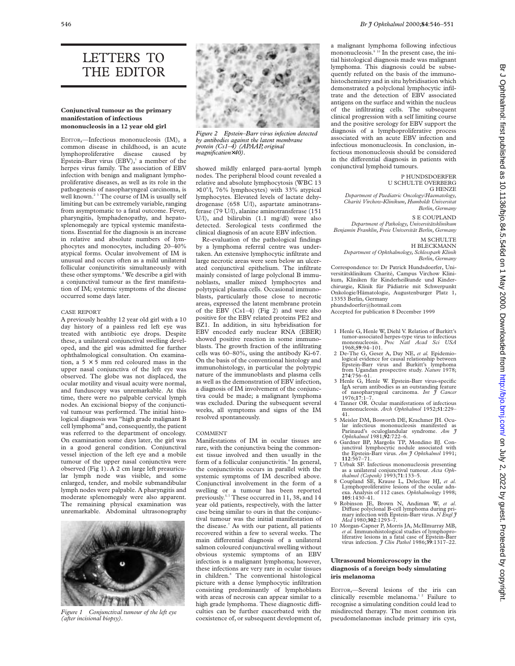### 546 *Br J Ophthalmol* 2000;**84**:546–551

# LETTERS TO THE EDITOR

# **Conjunctival tumour as the primary manifestation of infectious mononucleosis in a 12 year old girl**

EDITOR,—Infectious mononucleosis (IM), a common disease in childhood, is an acute lymphoproliferative disease caused by Epstein-Barr virus (EBV),<sup>1</sup> a member of the herpes virus family. The association of EBV infection with benign and malignant lymphoproliferative diseases, as well as its role in the pathogenesis of nasopharyngeal carcinoma, is well known.<sup>23</sup> The course of IM is usually self limiting but can be extremely variable, ranging from asymptomatic to a fatal outcome. Fever, pharyngitis, lymphadenopathy, and hepatosplenomegaly are typical systemic manifestations. Essential for the diagnosis is an increase in relative and absolute numbers of lymphocytes and monocytes, including 20–40% atypical forms. Ocular involvement of IM is unusual and occurs often as a mild unilateral follicular conjunctivitis simultaneously with these other symptoms.4 We describe a girl with a conjunctival tumour as the first manifestation of IM; systemic symptoms of the disease occurred some days later.

### CASE REPORT

A previously healthy 12 year old girl with a 10 day history of a painless red left eye was treated with antibiotic eye drops. Despite these, a unilateral conjunctival swelling developed, and the girl was admitted for further ophthalmological consultation. On examination, a  $5 \times 5$  mm red coloured mass in the upper nasal conjunctiva of the left eye was observed. The globe was not displaced, the ocular motility and visual acuity were normal, and funduscopy was unremarkable. At this time, there were no palpable cervical lymph nodes. An excisional biopsy of the conjunctival tumour was performed. The initial histological diagnosis was "high grade malignant B cell lymphoma" and, consequently, the patient was referred to the department of oncology. On examination some days later, the girl was in a good general condition. Conjunctival vessel injection of the left eye and a mobile tumour of the upper nasal conjunctiva were observed (Fig 1). A 2 cm large left preauricular lymph node was visible, and some enlarged, tender, and mobile submandibular lymph nodes were palpable. A pharyngitis and moderate splenomegaly were also apparent. The remaining physical examination was unremarkable. Abdominal ultrasonography



*Figure 1 Conjunctival tumour of the left eye (after incisional biopsy).*



*Figure 2 Epstein–Barr virus infection detected by antibodies against the latent membrane protein (Cs1–4) (APAAP, original magnification*×*40).*

showed mildly enlarged para-aortal lymph nodes. The peripheral blood count revealed a relative and absolute lymphocytosis (WBC 13 ×109 /l, 76% lymphocytes) with 33% atypical lymphocytes. Elevated levels of lactate dehydrogenase (658 U/l), aspartate aminotransferase (79 U/l), alanine aminotransferase (151 U/l), and bilirubin (1.1 mg/dl) were also detected. Serological tests confirmed the clinical diagnosis of an acute EBV infection.

Re-evaluation of the pathological findings by a lymphoma referral centre was undertaken. An extensive lymphocytic infiltrate and large necrotic areas were seen below an ulcerated conjunctival epithelium. The infiltrate mainly consisted of large polyclonal B immunoblasts, smaller mixed lymphocytes and polytypical plasma cells. Occasional immunoblasts, particularly those close to necrotic areas, expressed the latent membrane protein of the EBV (Cs1–4) (Fig 2) and were also positive for the EBV related proteins PE2 and BZ1. In addition, in situ hybridisation for EBV encoded early nuclear RNA (EBER) showed positive reaction in some immunoblasts. The growth fraction of the infiltrating cells was 60–80%, using the antibody Ki-67. On the basis of the conventional histology and immunohistology, in particular the polytypic nature of the immunoblasts and plasma cells as well as the demonstration of EBV infection, a diagnosis of IM involvement of the conjunctiva could be made; a malignant lymphoma was excluded. During the subsequent several weeks, all symptoms and signs of the IM resolved spontaneously.

### **COMMENT**

Manifestations of IM in ocular tissues are rare, with the conjunctiva being the commonest tissue involved and then usually in the form of a follicular conjunctivitis.<sup>4</sup> In general, the conjunctivitis occurs in parallel with the systemic symptoms of IM described above. Conjunctival involvement in the form of a swelling or a tumour has been reported previously.<sup>5-7</sup> These occurred in 11, 38, and 14 year old patients, respectively, with the latter case being similar to ours in that the conjunctival tumour was the initial manifestation of the disease.<sup>7</sup> As with our patient, all patients recovered within a few to several weeks. The main differential diagnosis of a unilateral salmon coloured conjunctival swelling without obvious systemic symptoms of an EBV infection is a malignant lymphoma; however, these infections are very rare in ocular tissues in children.<sup>8</sup> The conventional histological picture with a dense lymphocytic infiltration consisting predominantly of lymphoblasts with areas of necrosis can appear similar to a high grade lymphoma. These diagnostic difficulties can be further exacerbated with the coexistence of, or subsequent development of,

a malignant lymphoma following infectious mononucleosis.9 10 In the present case, the initial histological diagnosis made was malignant lymphoma. This diagnosis could be subsequently refuted on the basis of the immunohistochemistry and in situ hybridisation which demonstrated a polyclonal lymphocytic infiltrate and the detection of EBV associated antigens on the surface and within the nucleus of the infiltrating cells. The subsequent clinical progression with a self limiting course and the positive serology for EBV support the diagnosis of a lymphoproliferative process associated with an acute EBV infection and infectious mononucleosis. In conclusion, infectious mononucleosis should be considered in the differential diagnosis in patients with conjunctival lymphoid tumours.

> P HUNDSDOERFER U SCHULTE OVERBERG G HENZE *Department of Paediatric Oncology/Haematology,*

> *Charité Virchow-Klinikum, Humboldt Universitat Berlin, Germany*

S E COUPLAND

*Department of Pathology, Universitätsklinikum Benjamin Franklin, Freie Universität Berlin, Germany*

### M SCHULTE H BLECKMANN

*Department of Ophthalmology, Schlosspark Klinik Berlin, Germany*

Correspondence to: Dr Patrick Hundsdoerfer, Universitätsklinikum Charité, Campus Virchow Klinikum, Kliniken für Kinderheilkunde und Kinderchirurgie, Klinik für Pädiatrie mit Schwerpunkt Onkologie/Hämatologie, Augustenburger Platz 1, 13353 Berlin, Germany

phundsdoerfer@hotmail.com

Accepted for publication 8 December 1999

- 1 Henle G, Henle W, Diehl V. Relation of Burkitt's tumor-associated herpes-type virus to infectious mononucleosis. *Proc Natl Acad Sci USA*
- 1968;**59**:94–101. 2 De-The G, Geser A, Day NE, *et al.* Epidemiological evidence for causal relationship between Epstein-Barr virus and Burkitt's lymphoma from Ugandan prospective study. *Nature* 1978; **274**:756–61.
- 3 Henle G, Henle W. Epstein-Barr virus-specific IgA serum antibodies as an outstanding feature of nasopharyngeal carcinoma. *Int J Cancer* 1976;**17**:1–7.
- 4 Tanner OR. Ocular manifestations of infectious mononucleosis. *Arch Ophthalmol* 1952;**51**:229– 41.
- 5 Meisler DM, Bosworth DE, Krachmer JH. Ocular infectious mononucleosis manifested as Parinaud's oculoglandular syndrome. *Am J Ophthalmol* 1981;**92**:722–6.
- 6 Gardner BP, Margolis TP, Mondino BJ. Conjunctival lymphocytic nodule associated with the Epstein-Barr virus. *Am J Ophthalmol* 1991; **112**:567–71.
- 7 Urbak SF. Infectious mononucleosis presenting as a unilateral conjunctival tumour. *Acta Oph-thalmol (Copenh)* 1993;**71**:133–5.
- 8 Coupland SE, Krause L, Delecluse HJ, *et al.* Lymphoproliferative lesions of the ocular adnexa. Analysis of 112 cases. *Ophthalmology* 1998; **105**:1430–41.
- 9 Robinson JE, Brown N, Andiman W, et al.<br>Diffuse polyclonal B-cell lymphoma during primary infection with Epstein-Barr virus. *N Engl J Med* 1980;**302**:1293–7.
- 10 Morgan-Capner P, Morris JA, McIllmurray MB, *et al.* Immunohistological studies of lymphopro-liferative lesions in a fatal case of Epstein-Barr virus infection. *J Clin Pathol* 1986;**39**:1317–22.

# **Ultrasound biomicroscopy in the diagnosis of a foreign body simulating iris melanoma**

EDITOR,—Several lesions of the iris can clinically resemble melanoma.<sup>12</sup> Failure to recognise a simulating condition could lead to misdirected therapy. The most common iris pseudomelanomas include primary iris cyst,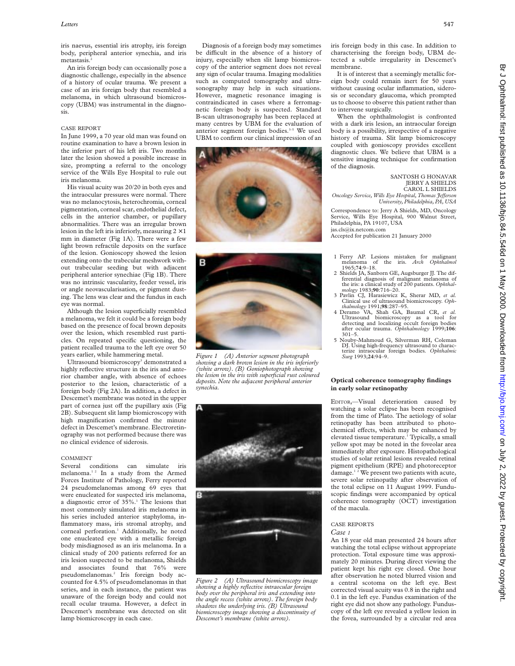iris naevus, essential iris atrophy, iris foreign body, peripheral anterior synechia, and iris metastasis.

An iris foreign body can occasionally pose a diagnostic challenge, especially in the absence of a history of ocular trauma. We present a case of an iris foreign body that resembled a melanoma, in which ultrasound biomicroscopy (UBM) was instrumental in the diagnosis.

# CASE REPORT

In June 1999, a 70 year old man was found on routine examination to have a brown lesion in the inferior part of his left iris. Two months later the lesion showed a possible increase in size, prompting a referral to the oncology service of the Wills Eye Hospital to rule out iris melanoma.

His visual acuity was 20/20 in both eyes and the intraocular pressures were normal. There was no melanocytosis, heterochromia, corneal pigmentation, corneal scar, endothelial defect, cells in the anterior chamber, or pupillary abnormalities. There was an irregular brown lesion in the left iris inferiorly, measuring  $2 \times 1$ mm in diameter (Fig 1A). There were a few light brown refractile deposits on the surface of the lesion. Gonioscopy showed the lesion extending onto the trabecular meshwork without trabecular seeding but with adjacent peripheral anterior synechiae (Fig 1B). There was no intrinsic vascularity, feeder vessel, iris or angle neovascularisation, or pigment dusting. The lens was clear and the fundus in each eye was normal.

Although the lesion superficially resembled a melanoma, we felt it could be a foreign body based on the presence of focal brown deposits over the lesion, which resembled rust particles. On repeated specific questioning, the patient recalled trauma to the left eye over 50 years earlier, while hammering metal.

Ultrasound biomicroscopy<sup>3</sup> demonstrated a highly reflective structure in the iris and anterior chamber angle, with absence of echoes posterior to the lesion, characteristic of a foreign body (Fig 2A). In addition, a defect in Descemet's membrane was noted in the upper part of cornea just off the pupillary axis (Fig 2B). Subsequent slit lamp biomicroscopy with high magnification confirmed the minute defect in Descemet's membrane. Electroretinography was not performed because there was no clinical evidence of siderosis.

### **COMMENT**

Several conditions can simulate iris melanoma.1 2 In a study from the Armed Forces Institute of Pathology, Ferry reported 24 pseudomelanomas among 69 eyes that were enucleated for suspected iris melanoma, a diagnostic error of  $35\%$ .<sup>1</sup> The lesions that most commonly simulated iris melanoma in his series included anterior staphyloma, inflammatory mass, iris stromal atrophy, and corneal perforation.<sup>1</sup> Additionally, he noted one enucleated eye with a metallic foreign body misdiagnosed as an iris melanoma. In a clinical study of 200 patients referred for an iris lesion suspected to be melanoma, Shields and associates found that 76% were pseudomelanomas.2 Iris foreign body accounted for 4.5% of pseudomelanomas in that series, and in each instance, the patient was unaware of the foreign body and could not recall ocular trauma. However, a defect in Descemet's membrane was detected on slit lamp biomicroscopy in each case.

Diagnosis of a foreign body may sometimes be difficult in the absence of a history of injury, especially when slit lamp biomicroscopy of the anterior segment does not reveal any sign of ocular trauma. Imaging modalities such as computed tomography and ultrasonography may help in such situations. However, magnetic resonance imaging is contraindicated in cases where a ferromagnetic foreign body is suspected. Standard B-scan ultrasonography has been replaced at many centres by UBM for the evaluation of anterior segment foreign bodies.<sup>3-5</sup> We used UBM to confirm our clinical impression of an





*Figure 1 (A) Anterior segment photograph showing a dark brown lesion in the iris inferiorly (white arrow). (B) Goniophotograph showing the lesion in the iris with superficial rust coloured deposits. Note the adjacent peripheral anterior synechia.*



*Figure 2 (A) Ultrasound biomicroscopy image showing a highly reflective intraocular foreign body over the peripheral iris and extending into the angle recess (white arrow). The foreign body shadows the underlying iris. (B) Ultrasound biomicroscopy image showing a discontinuity of Descemet's membrane (white arrow).*

iris foreign body in this case. In addition to characterising the foreign body, UBM detected a subtle irregularity in Descemet's membrane.

It is of interest that a seemingly metallic foreign body could remain inert for 50 years without causing ocular inflammation, siderosis or secondary glaucoma, which prompted us to choose to observe this patient rather than to intervene surgically.

When the ophthalmologist is confronted with a dark iris lesion, an intraocular foreign body is a possibility, irrespective of a negative history of trauma. Slit lamp biomicroscopy coupled with gonioscopy provides excellent diagnostic clues. We believe that UBM is a sensitive imaging technique for confirmation of the diagnosis.

> SANTOSH G HONAVAR JERRY A SHIELDS

CAROL L SHIELDS

 $Oncology Service,$  *Wills Eye Hospital, Thomas Jefferson University, Philadelphia, PA, USA*

Correspondence to: Jerry A Shields, MD, Oncology Service, Wills Eye Hospital, 900 Walnut Street, Philadelphia, PA 19107, USA

jas.cls@ix.netcom.com

Accepted for publication 21 January 2000

- 1 Ferry AP. Lesions mistaken for malignant melanoma of the iris. *Arch Ophthalmol* 1965;**74**:9–18.
- 2 Shields JA, Sanborn GE, Augsburger JJ. The differential diagnosis of malignant melanoma of the iris: a clinical study of 200 patients. *Ophthalmology* 1983;**90**:716–20.
- 3 Pavlin CJ, Harasiewicz K, Sherar MD, *et al.* Clinical use of ultrasound biomicroscopy. *Oph-*
- *halmology* 1991;98:287-95.<br>4 Deramo VA, Shah GA, Baumal CR, *et al.*<br>Ultrasound biomicroscopy as a tool for<br>detecting and localizing occult foreign bodies<br>after ocular trauma. *Ophthalmology* 1999;106:  $301 - 5$
- 5 Nouby-Mahmoud G, Silverman RH, Coleman DJ. Using high-frequency ultrasound to characterize intraocular foreign bodies. *Ophthalmic Surg* 1993;**24**:94–9.

### **Optical coherence tomography findings in early solar retinopathy**

EDITOR,—Visual deterioration caused by watching a solar eclipse has been recognised from the time of Plato. The aetiology of solar retinopathy has been attributed to photochemical effects, which may be enhanced by elevated tissue temperature.<sup>1</sup> Typically, a small yellow spot may be noted in the foveolar area immediately after exposure. Histopathological studies of solar retinal lesions revealed retinal pigment epithelium (RPE) and photoreceptor damage.<sup>12</sup> We present two patients with acute, severe solar retinopathy after observation of the total eclipse on 11 August 1999. Funduscopic findings were accompanied by optical coherence tomography (OCT) investigation of the macula.

### CASE REPORTS *Case 1*

An 18 year old man presented 24 hours after watching the total eclipse without appropriate protection. Total exposure time was approximately 20 minutes. During direct viewing the patient kept his right eye closed. One hour after observation he noted blurred vision and a central scotoma on the left eye. Best corrected visual acuity was 0.8 in the right and 0.1 in the left eye. Fundus examination of the right eye did not show any pathology. Funduscopy of the left eye revealed a yellow lesion in the fovea, surrounded by a circular red area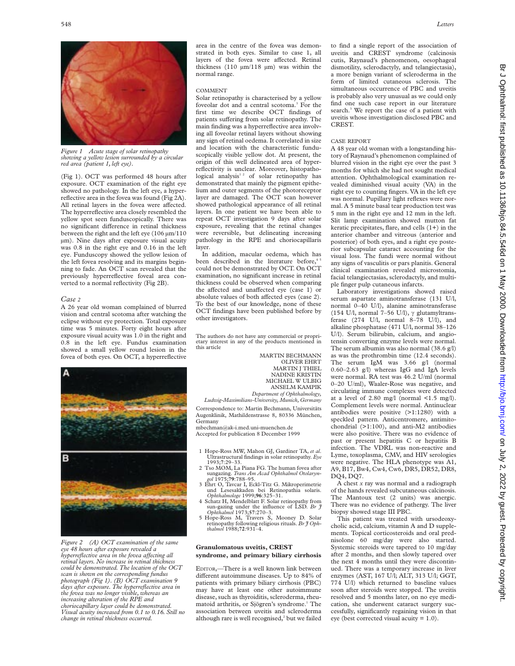



*Figure 1 Acute stage of solar retinopathy showing a yellow lesion surrounded by a circular red area (patient 1, left eye).*

(Fig 1). OCT was performed 48 hours after exposure. OCT examination of the right eye showed no pathology. In the left eye, a hyperreflective area in the fovea was found (Fig 2A). All retinal layers in the fovea were affected. The hyperreflective area closely resembled the yellow spot seen funduscopically. There was no significant difference in retinal thickness between the right and the left eye (106 µm/110 µm). Nine days after exposure visual acuity was 0.8 in the right eye and 0.16 in the left eye. Funduscopy showed the yellow lesion of the left fovea resolving and its margins beginning to fade. An OCT scan revealed that the previously hyperreflective foveal area converted to a normal reflectivity (Fig 2B).

### *Case 2*

A 26 year old woman complained of blurred vision and central scotoma after watching the eclipse without eye protection. Total exposure time was 5 minutes. Forty eight hours after exposure visual acuity was 1.0 in the right and 0.8 in the left eye. Fundus examination showed a small yellow round lesion in the fovea of both eyes. On OCT, a hyperreflective



*Figure 2 (A) OCT examination of the same eye 48 hours after exposure revealed a hyperreflective area in the fovea affecting all retinal layers. No increase in retinal thickness could be demonstrated. The location of the OCT scan is shown on the corresponding fundus photograph (Fig 1). (B) OCT examination 9 days after exposure. The hyperreflective area in the fovea was no longer visible, whereas an increasing alteration of the RPE and choriocapillary layer could be demonstrated. Visual acuity increased from 0.1 to 0.16. Still no change in retinal thickness occurred.*

area in the centre of the fovea was demonstrated in both eyes. Similar to case 1, all layers of the fovea were affected. Retinal thickness  $(110 \mu m/118 \mu m)$  was within the normal range.

### COMMENT

Solar retinopathy is characterised by a yellow foveolar dot and a central scotoma.<sup>3</sup> For the first time we describe OCT findings of patients suffering from solar retinopathy. The main finding was a hyperreflective area involving all foveolar retinal layers without showing any sign of retinal oedema. It correlated in size and location with the characteristic funduscopically visible yellow dot. At present, the origin of this well delineated area of hyperreflectivity is unclear. Moreover, histopathological analysis<sup>12</sup> of solar retinopathy has demonstrated that mainly the pigment epithelium and outer segments of the photoreceptor layer are damaged. The OCT scan however showed pathological appearance of all retinal layers. In one patient we have been able to repeat OCT investigation 9 days after solar exposure, revealing that the retinal changes were reversible, but delineating increasing pathology in the RPE and choriocapillaris layer.

In addition, macular oedema, which has been described in the literature before,<sup>4</sup> could not be demonstrated by OCT. On OCT examination, no significant increase in retinal thickness could be observed when comparing the affected and unaffected eye (case 1) or absolute values of both affected eyes (case 2). To the best of our knowledge, none of these OCT findings have been published before by other investigators.

The authors do not have any commercial or propri-etary interest in any of the products mentioned in this article

MARTIN BECHMANN OLIVER EHRT MARTIN J THIEL NADINE KRISTIN MICHAEL W ULBIG ANSELM KAMPIK *Department of Ophthalmology,*

*Ludwig-Maximilians-University, Munich, Germany* Correspondence to: Martin Bechmann, Universitäts Augenklinik, Mathildenstrasse 8, 80336 München, Germany

mbechman@ak-i.med.uni-muenchen.de Accepted for publication 8 December 1999

- 1 Hope-Ross MW, Mahon GJ, Gardiner TA, *et al*. Ultrastructural findings in solar retinopathy. *Eye* 1993;**7**:29–33.
- 2 Tso MOM, La Piana FG. The human fovea after sungazing. *Trans Am Acad Ophthalmol Otolaryn-gol* 1975;**79**:788–95. 3 Ehrt O, Tavcar I, Eckl-Titz G. Mikroperimetrie
- und Lesesakkaden bei Retinopathia solaris. *Ophthalmologe* 1999;**96**:325–31.
- 4 Schatz H, Mendelblatt F. Solar retinopathy from sun-gazing under the influence of LSD. *Br J Ophthalmol* 1973;**57**:270–3. 5 Hope-Ross M, Travers S, Mooney D. Solar
- retinopathy following religious rituals. *Br J Ophthalmol* 1988;**72**:931–4.

### **Granulomatous uveitis, CREST syndrome, and primary biliary cirrhosis**

EDITOR,—There is a well known link between different autoimmune diseases. Up to 84% of patients with primary biliary cirrhosis (PBC) may have at least one other autoimmune disease, such as thyroiditis, scleroderma, rheumatoid arthritis, or Sjögren's syndrome.<sup>1</sup> The association between uveitis and scleroderma although rare is well recognised,<sup>2</sup> but we failed

to find a single report of the association of uveitis and CREST syndrome (calcinosis cutis, Raynaud's phenomenon, oesophageal dismotility, sclerodactyly, and telangiectasia), a more benign variant of scleroderma in the form of limited cutaneous sclerosis. The simultaneous occurrence of PBC and uveitis is probably also very unusual as we could only find one such case report in our literature search.<sup>3</sup> We report the case of a patient with uveitis whose investigation disclosed PBC and CREST.

### CASE REPORT

A 48 year old woman with a longstanding history of Raynaud's phenomenon complained of blurred vision in the right eye over the past 3 months for which she had not sought medical attention. Ophthalmological examination revealed diminished visual acuity (VA) in the right eye to counting fingers. VA in the left eye was normal. Pupillary light reflexes were normal. A 5 minute basal tear production test was 5 mm in the right eye and 12 mm in the left. Slit lamp examination showed mutton fat keratic precipitates, flare, and cells (1+) in the anterior chamber and vitreous (anterior and posterior) of both eyes, and a right eye posterior subcapsular cataract accounting for the visual loss. The fundi were normal without any signs of vasculitis or pars planitis. General clinical examination revealed microstomia, facial telangiectasias, sclerodactyly, and multiple finger pulp cutaneous infarcts.

Laboratory investigations showed raised serum aspartate aminotransferase (131 U/l, normal 0–40 U/l), alanine aminotransferase (154 U/l, normal 7-56 U/l),  $\gamma$  glutamyltransferase (274 U/l, normal 8–78 U/l), and alkaline phosphatase (471 U/l, normal 38–126 U/l). Serum bilirubin, calcium, and angiotensin converting enzyme levels were normal. The serum albumin was also normal (38.6 g/l) as was the prothrombin time (12.4 seconds). The serum IgM was 3.66 g/l (normal 0.60–2.63 g/l) whereas IgG and IgA levels were normal. RA test was 46.2 U/ml (normal 0–20 U/ml), Waaler-Rose was negative, and circulating immune complexes were detected at a level of  $2.80 \text{ mg/l}$  (normal  $\leq 1.5 \text{ mg/l}$ ). Complement levels were normal. Antinuclear antibodies were positive (>1:1280) with a speckled pattern. Anticentromere, antimitochondrial (>1:100), and anti-M2 antibodies were also positive. There was no evidence of past or present hepatitis C or hepatitis B infection. The VDRL was non-reactive and Lyme, toxoplasma, CMV, and HIV serologies were negative. The HLA phenotype was A1, A9, B17, Bw4, Cw4, Cw6, DR5, DR52, DR8, DQ4, DQ7.

A chest *x* ray was normal and a radiograph of the hands revealed subcutaneous calcinosis. The Mantoux test (2 units) was anergic. There was no evidence of pathergy. The liver biopsy showed stage III PBC.

This patient was treated with ursodeoxycholic acid, calcium, vitamin A and D supplements. Topical corticosteroids and oral prednisolone 60 mg/day were also started. Systemic steroids were tapered to 10 mg/day after 2 months, and then slowly tapered over the next 4 months until they were discontinued. There was a temporary increase in liver enzymes (AST, 167 U/l; ALT, 313 U/l; GGT, 774 U/l) which returned to baseline values soon after steroids were stopped. The uveitis resolved and 5 months later, on no eye medication, she underwent cataract surgery successfully, significantly regaining vision in that eye (best corrected visual acuity = 1.0).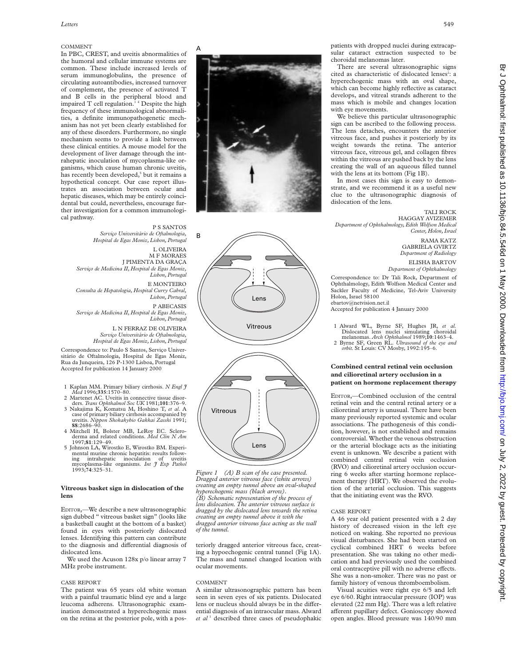# COMMENT

In PBC, CREST, and uveitis abnormalities of the humoral and cellular immune systems are common. These include increased levels of serum immunoglobulins, the presence of circulating autoantibodies, increased turnover of complement, the presence of activated T and B cells in the peripheral blood and impaired  $T$  cell regulation.<sup>14</sup> Despite the high frequency of these immunological abnormalities, a definite immunopathogenetic mechanism has not yet been clearly established for any of these disorders. Furthermore, no single mechanism seems to provide a link between these clinical entities. A mouse model for the development of liver damage through the intrahepatic inoculation of mycoplasma-like organisms, which cause human chronic uveitis, has recently been developed,<sup>5</sup> but it remains a hypothetical concept. Our case report illustrates an association between ocular and hepatic diseases, which may be entirely coincidental but could, nevertheless, encourage further investigation for a common immunological pathway.

# P S SANTOS

*Serviço Universitário de Oftalmologia, Hospital de Egas Moniz, Lisbon, Portugal*

L OLIVEIRA M F MORAES J PIMENTA DA GRAÇA *Serviço de Medicina II, Hospital de Egas Moniz, Lisbon, Portugal*

E MONTEIRO *Consulta de Hepatologia, Hospital Curry Cabral, Lisbon, Portugal*

P ABECASIS *Serviço de Medicina II, Hospital de Egas Moniz, Lisbon, Portugal*

> L N FERRAZ DE OLIVEIRA *Serviço Universitário de Oftalmologia, Hospital de Egas Moniz, Lisbon, Portugal*

Correspondence to: Paulo S Santos, Serviço Universitário de Oftalmologia, Hospital de Egas Moniz, Rua da Junqueira, 126 P-1300 Lisboa, Portugal Accepted for publication 14 January 2000

- 1 Kaplan MM. Primary biliary cirrhosis. *N Engl J Med* 1996;**335**:1570–80.
- 2 Martenet AC. Uveitis in connective tissue disorders. *Trans Ophthalmol Soc UK* 1981;**101**:376–9. 3 Nakajima K, Komatsu M, Hoshino T, *et al*. A
- case of primary biliary cirrhosis accompanied by uveitis. *Nippon Shokakybio Gakkai Zasshi* 1991; **88**:2686–90.
- 4 Mitchell H, Bolster MB, LeRoy EC. Sclero-derma and related conditions. *Med Clin N Am* 1997;**81**:129–49.
- 5 Johnson LA, Wirostko E, Wirostko BM. Experimental murine chronic hepatitis: results follow-<br>ing intrahepatic inoculation of uveitis ing intrahepatic inoculation of uveitis mycoplasma-like organisms. *Int J Exp Pathol* 1993;**74**:325–31.

### **Vitreous basket sign in dislocation of the lens**

EDITOR,—We describe a new ultrasonographic sign dubbed " vitreous basket sign" (looks like a basketball caught at the bottom of a basket) found in eyes with posteriorly dislocated lenses. Identifying this pattern can contribute to the diagnosis and differential diagnosis of dislocated lens.

We used the Acuson 128x p/o linear array 7 MHz probe instrument.

### CASE REPORT

The patient was 65 years old white woman with a painful traumatic blind eye and a large leucoma adherens. Ultrasonographic examination demonstrated a hyperechogenic mass on the retina at the posterior pole, with a pos-





*Figure 1 (A) B scan of the case presented. Dragged anterior vitreous face (white arrows) creating an empty tunnel above an oval-shaped hyperechogenic mass (black arrow). (B) Schematic representation of the process of lens dislocation. The anterior vitreous surface is dragged by the dislocated lens towards the retina creating an empty tunnel above it with the dragged anterior vitreous face acting as the wall of the tunnel.*

teriorly dragged anterior vitreous face, creating a hypoechogenic central tunnel (Fig 1A). The mass and tunnel changed location with ocular movements.

### **COMMENT**

A similar ultrasonographic pattern has been seen in seven eyes of six patients. Dislocated lens or nucleus should always be in the differential diagnosis of an intraocular mass. Alward et al<sup>1</sup> described three cases of pseudophakic patients with dropped nuclei during extracapsular cataract extraction suspected to be choroidal melanomas later.

There are several ultrasonographic signs cited as characteristic of dislocated lenses<sup>2</sup>: a hyperechogenic mass with an oval shape, which can become highly reflective as cataract develops, and vitreal strands adherent to the mass which is mobile and changes location with eye movements.

We believe this particular ultrasonographic sign can be ascribed to the following process. The lens detaches, encounters the anterior vitreous face, and pushes it posteriorly by its weight towards the retina. The anterior vitreous face, vitreous gel, and collagen fibres within the vitreous are pushed back by the lens creating the wall of an aqueous filled tunnel with the lens at its bottom (Fig 1B).

In most cases this sign is easy to demonstrate, and we recommend it as a useful new clue to the ultrasonographic diagnosis of dislocation of the lens.

### TALL ROCK HAGGAY AVIZEMER

*Department of Ophthalmology, Edith Wolfson Medical Center, Holon, Israel*

> RAMA KATZ GABRIELA GVIRTZ *Department of Radiology*

ELISHA BARTOV *Department of Ophthalmology*

Correspondence to: Dr Tali Rock, Department of Ophthalmology, Edith Wolfson Medical Center and Sackler Faculty of Medicine, Tel-Aviv University Holon, Israel 58100 ebartov@netvision.net.il

Accepted for publication 4 January 2000

- 1 Alward WL, Byrne SF, Hughes JR, *et al.*
- Dislocated lens nuclei simulating choroidal melanomas. *Arch Ophthalmol* 1989;**10**:1463–4. 2 Byrne SF, Green RL. *Ultrasound of the eye and orbit.* St Louis: CV Mosby, 1992:195–6.

# **Combined central retinal vein occlusion and cilioretinal artery occlusion in a patient on hormone replacement therapy**

EDITOR,—Combined occlusion of the central retinal vein and the central retinal artery or a cilioretinal artery is unusual. There have been many previously reported systemic and ocular associations. The pathogenesis of this condition, however, is not established and remains controversial. Whether the venous obstruction or the arterial blockage acts as the initiating event is unknown. We describe a patient with combined central retinal vein occlusion (RVO) and cilioretinal artery occlusion occurring 6 weeks after starting hormone replacement therapy (HRT). We observed the evolution of the arterial occlusion. This suggests that the initiating event was the RVO.

### CASE REPORT

A 46 year old patient presented with a 2 day history of decreased vision in the left eye noticed on waking. She reported no previous visual disturbances. She had been started on cyclical combined HRT 6 weeks before presentation. She was taking no other medication and had previously used the combined oral contraceptive pill with no adverse effects. She was a non-smoker. There was no past or family history of venous thromboembolism.

Visual acuities were right eye 6/5 and left eye 6/60. Right intraocular pressure (IOP) was elevated (22 mm Hg). There was a left relative afferent pupillary defect. Gonioscopy showed open angles. Blood pressure was 140/90 mm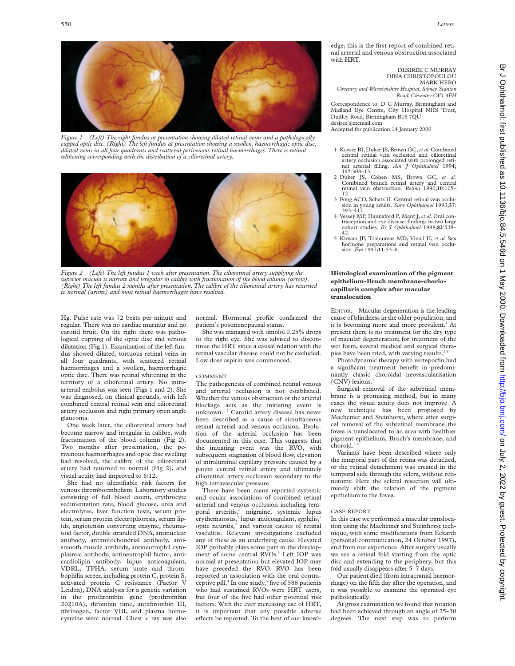

*Figure 1 (Left) The right fundus at presentation showing dilated retinal veins and a pathologically cupped optic disc. (Right) The left fundus at presentation showing a swollen, haemorrhagic optic disc, dilated veins in all four quadrants and scattered perivenous retinal haemorrhages. There is retinal whitening corresponding with the distribution of a cilioretinal artery.*



*Figure 2 (Left) The left fundus 1 week after presentation. The cilioretinal artery supplying the superior macula is narrow and irregular in calibre with fractionation of the blood column (arrow). (Right) The left fundus 2 months after presentation. The calibre of the cilioretinal artery has returned to normal (arrow) and most retinal haemorrhages have resolved.*

Hg. Pulse rate was 72 beats per minute and regular. There was no cardiac murmur and no carotid bruit. On the right there was pathological cupping of the optic disc and venous dilatation (Fig 1). Examination of the left fundus showed dilated, tortuous retinal veins in all four quadrants, with scattered retinal haemorrhages and a swollen, haemorrhagic optic disc. There was retinal whitening in the territory of a cilioretinal artery. No intraarterial embolus was seen (Figs 1 and 2). She was diagnosed, on clinical grounds, with left combined central retinal vein and cilioretinal artery occlusion and right primary open angle glaucoma.

One week later, the cilioretinal artery had become narrow and irregular in calibre, with fractionation of the blood column (Fig 2). Two months after presentation, the perivenous haemorrhages and optic disc swelling had resolved, the calibre of the cilioretinal artery had returned to normal (Fig 2), and visual acuity had improved to 6/12.

She had no identifiable risk factors for venous thromboembolism. Laboratory studies consisting of full blood count, erythrocyte sedimentation rate, blood glucose, urea and electrolytes, liver function tests, serum protein, serum protein electrophoresis, serum lipids, angiotensin converting enzyme, rheumatoid factor, double stranded DNA, antinuclear antibody, antimitochondrial antibody, antismooth muscle antibody, antineutrophil cytoplasmic antibody, antineutrophil factor, anticardiolipin antibody, lupus anticoagulant, VDRL, TPHA, serum urate and thrombophilia screen including protein C, protein S, activated protein C resistance (Factor V Leiden), DNA analysis for a genetic variation in the prothrombin gene (prothrombin 20210A), thrombin time, antithrombin III, fibrinogen, factor VIII, and plasma homocysteine were normal. Chest *x* ray was also normal. Hormonal profile confirmed the patient's postmenopausal status.

She was managed with timolol 0.25% drops to the right eye. She was advised to discontinue the HRT since a causal relation with the retinal vascular disease could not be excluded. Low dose aspirin was commenced.

### **COMMENT**

The pathogenesis of combined retinal venous and arterial occlusion is not established. Whether the venous obstruction or the arterial blockage acts as the initiating event is unknown.<sup>12</sup> Carotid artery disease has never been described as a cause of simultaneous retinal arterial and venous occlusion. Evolution of the arterial occlusion has been documented in this case. This suggests that the initiating event was the RVO, with subsequent stagnation of blood flow, elevation of intraluminal capillary pressure caused by a patent central retinal artery and ultimately cilioretinal artery occlusion secondary to the high intravascular pressure.

There have been many reported systemic and ocular associations of combined retinal arterial and venous occlusion including temporal arteritis,<sup>2</sup> migraine, systemic lupus erythematosus,<sup>2</sup> lupus anticoagulant, syphilis,<sup>2</sup> optic neuritis, $\frac{3}{2}$  and various causes of retinal vasculitis. Relevant investigations excluded any of these as an underlying cause. Elevated IOP probably plays some part in the development of some central RVOs.<sup>3</sup> Left IOP was normal at presentation but elevated IOP may have preceded the RVO. RVO has been reported in association with the oral contraceptive pill.<sup>4</sup> In one study,<sup>5</sup> five of 588 patients who had sustained RVOs were HRT users, but four of the five had other potential risk factors. With the ever increasing use of HRT, it is important that any possible adverse effects be reported. To the best of our knowledge, this is the first report of combined retinal arterial and venous obstruction associated with HRT.

DESIRÉE C MURRAY DINA CHRISTOPOULOU MARK HERO *Coventry and Warwickshire Hospital, Stoney Stanton Road, Coventry CV1 4FH*

Correspondence to: D C Murray, Birmingham and Midland Eye Centre, City Hospital NHS Trust, Dudley Road, Birmingham B18 7QU desiree@mcmail.com

Accepted for publication 14 January 2000

- 1 Keyser BJ, Duker JS, Brown GC,*et al.*Combined central retinal vein occlusion and cilioretinal artery occlusion associated with prolonged reti-nal arterial filling. *Am J Ophthalmol* 1994; **117**:308–13.
- 2 Duker JS, Cohen MS, Brown GC, *et al.* Combined branch retinal artery and central retinal vein obstruction. *Retina* 1990;**10**:105– 12.
- 3 Fong ACO, Schatz H. Central retinal vein occlusion in young adults*. Surv Ophthalmol* 1993;**37**: 393–417.
- 4 Vessey MP, Hannaford P, Mant J, *et al.* Oral contraception and eye disease: findings in two large cohort studies. *Br J Ophthalmol* 1998;**82**:538– 42.
- 5 Kirwan JF, Tsaloumas MD, Vinall H, *et al.* Sex hormone preparations and retinal vein occlu-sion. *Eye* 1997;**11**:53–6.

# **Histological examination of the pigment epithelium-Bruch membrane-choriocapillaris complex after macular translocation**

EDITOR,—Macular degeneration is the leading cause of blindness in the older population, and it is becoming more and more prevalent.<sup>1</sup> At present there is no treatment for the dry type of macular degeneration; for treatment of the wet form, several medical and surgical therapies have been tried, with varying results.<sup>2–6</sup>

Photodynamic therapy with verteporfin had a significant treatment benefit in predominantly classic choroidal neovascularisation (CNV) lesions.<sup>7</sup>

Surgical removal of the subretinal membrane is a promising method, but in many cases the visual acuity does not improve. A new technique has been proposed by Machemer and Steinhorst, where after surgical removal of the subretinal membrane the fovea is translocated to an area with healthier pigment epithelium, Bruch's membrane, and choroid.<sup>8</sup>

Variants have been described where only the temporal part of the retina was detached, or the retinal detachment was created in the temporal side through the sclera, without retinotomy. Here the scleral resection will ultimately shift the relation of the pigment epithelium to the fovea.

### CASE REPORT

In this case we performed a macular translocation using the Machemer and Steinhorst technique, with some modifications from Eckardt (personal communication, 24 October 1997), and from our experience. After surgery usually we see a retinal fold starting from the optic disc and extending to the periphery, but this fold usually disappears after 5–7 days.

Our patient died (from intracranial haemorrhage) on the fifth day after the operation, and it was possible to examine the operated eye pathologically.

At gross examination we found that rotation had been achieved through an angle of 25–30 degrees. The next step was to perform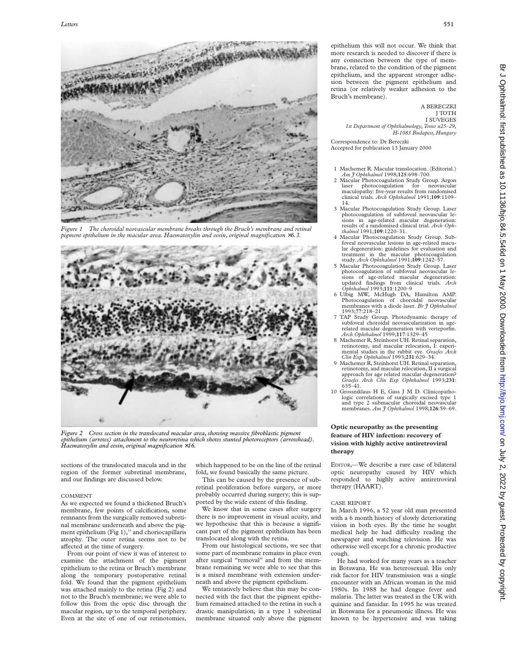

*Figure 1 The choroidal neovascular membrane breaks through the Bruch's membrane and retinal pigment epithelium in the macular area. Haematoxylin and eosin, original magnification* ×*6.3.*



*Figure 2 Cross section in the translocated macular area, showing massive fibroblastic pigment epithelium (arrows) attachment to the neuroretina which shows stunted photoreceptors (arrowhead). Haematoxylin and eosin, original magnification* ×*16.*

sections of the translocated macula and in the region of the former subretinal membrane, and our findings are discussed below.

### COMMENT

As we expected we found a thickened Bruch's membrane, few points of calcification, some remnants from the surgically removed subretinal membrane underneath and above the pigment epithelium (Fig 1),<sup>10</sup> and choriocapillaris atrophy. The outer retina seems not to be affected at the time of surgery.

From our point of view it was of interest to examine the attachment of the pigment epithelium to the retina or Bruch's membrane along the temporary postoperative retinal fold. We found that the pigment epithelium was attached mainly to the retina (Fig 2) and not to the Bruch's membrane; we were able to follow this from the optic disc through the macular region, up to the temporal periphery. Even at the site of one of our retinotomies,

which happened to be on the line of the retinal fold, we found basically the same picture.

This can be caused by the presence of subretinal proliferation before surgery, or more probably occurred during surgery; this is supported by the wide extent of this finding.

We know that in some cases after surgery there is no improvement in visual acuity, and we hypothesise that this is because a significant part of the pigment epithelium has been translocated along with the retina.

From our histological sections, we see that some part of membrane remains in place even after surgical "removal" and from the membrane remaining we were able to see that this is a mixed membrane with extension underneath and above the pigment epithelium.

We tentatively believe that this may be connected with the fact that the pigment epithelium remained attached to the retina in such a drastic manipulation; in a type 1 subretinal membrane situated only above the pigment epithelium this will not occur. We think that more research is needed to discover if there is any connection between the type of membrane, related to the condition of the pigment epithelium, and the apparent stronger adhesion between the pigment epithelium and retina (or relatively weaker adhesion to the Bruch's membrane).

> A BERECZKI J TOTH I SUVEGES *1st Department of Ophthalmology, Tomo u25–29, H-1083 Budapest, Hungary*

Correspondence to: Dr Bereczki Accepted for publication 13 January 2000

- 1 Machemer R. Macular translocation. (Editorial.) *Am J Ophthalmol* 1998;**125**:698–700.
- 2 Macular Photocoagulation Study Group. Argon laser photocoagulation for neovascular maculopathy: five-year results from randomised clinical trials. *Arch Ophthalmol* 1991;**109**:1109– 14.
- 3 Macular Photocoagulation Study Group. Laser photocoagulation of subfoveal neovascular le-sions in age-related macular degeneration: results of a randomised clinical trial. *Arch Oph-thalmol* 1991;**109**:1220–31.
- 4 Macular Photocoagulation Study Group. Subfoveal neovascular lesions in age-related macu-lar degeneration: guidelines for evaluation and treatment in the macular photocoagulation study. *Arch Ophthalmol* 1991;**109**:1242–57.
- 5 Macular Photocoagulation Study Group. Laser photocoagulation of subfoveal neovascular lesions of age-related macular degeneration: updated findings from clinical trials. *Arch Ophthalmol* 1993;**111**:1200–9
- 6 Ulbig MW, McHugh DA, Hamilton AMP. Photocoagulation of choroidal neovascular membranes with a diode laser. *Br J Ophthalmol* 1993;**77**:218–21
- 7 TAP Study Group. Photodynamic therapy of subfoveal choroidal neovascularization in agerelated macular degeneration with verteporfin. *Arch Ophthalmol* 1999;**117**:1329–45
- 8 Machemer R, Steinhorst UH. Retinal separation, retinotomy, and macular relocation, I: experimental studies in the rabbit eye. *Graefes Arch Clin Exp Ophthalmol* 1993;**231**:629–34.
- 9 Machemer R, Steinhorst UH. Retinal separation, retinotomy, and macular relocation, II a surgical approach for age related macular degeneration? *Graefes Arch Clin Exp Ophthalmol* 1993;**231**: 635–41.
- 10 Grossniklaus H E, Gass J M D. Clinicopathologic correlations of surgically excised type 1 and type 2 submacular choroidal neovascular membranes. *Am J Ophthalmol* 1998;**126**:59–69.

# **Optic neuropathy as the presenting feature of HIV infection: recovery of vision with highly active antiretroviral therapy**

EDITOR,—We describe a rare case of bilateral optic neuropathy caused by HIV which responded to highly active antiretroviral therapy (HAART).

### CASE REPORT

In March 1996, a 52 year old man presented with a 6 month history of slowly deteriorating vision in both eyes. By the time he sought medical help he had difficulty reading the newspaper and watching television. He was otherwise well except for a chronic productive cough.

He had worked for many years as a teacher in Botswana. He was heterosexual. His only risk factor for HIV transmission was a single encounter with an African woman in the mid 1980s. In 1988 he had dengue fever and malaria. The latter was treated in the UK with quinine and fansidar. In 1995 he was treated in Botswana for a pneumonic illness. He was known to be hypertensive and was taking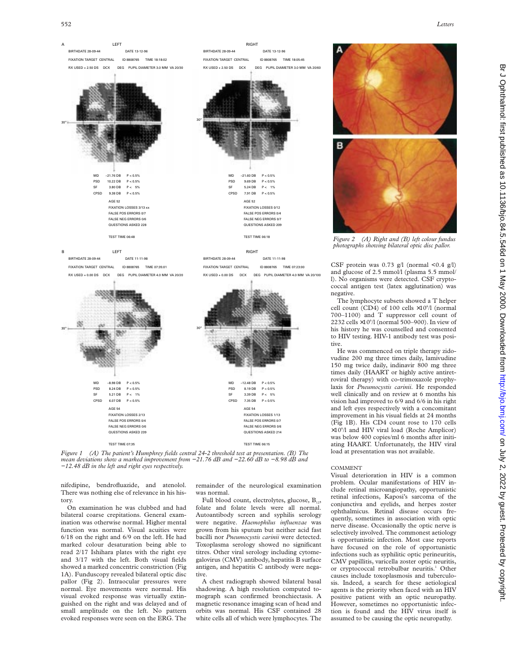

*Figure 1 (A) The patient's Humphrey fields central 24-2 threshold test at presentation. (B) The mean deviations show a marked improvement from −21.76 dB and −22.60 dB to −8.98 dB and −12.48 dB in the left and right eyes respectively.*

nifedipine, bendrofluazide, and atenolol. There was nothing else of relevance in his history.

On examination he was clubbed and had bilateral coarse crepitations. General examination was otherwise normal. Higher mental function was normal. Visual acuities were 6/18 on the right and 6/9 on the left. He had marked colour desaturation being able to read 2/17 Ishihara plates with the right eye and 3/17 with the left. Both visual fields showed a marked concentric constriction (Fig 1A). Funduscopy revealed bilateral optic disc pallor (Fig 2). Intraocular pressures were normal. Eye movements were normal. His visual evoked response was virtually extinguished on the right and was delayed and of small amplitude on the left. No pattern evoked responses were seen on the ERG. The remainder of the neurological examination was normal.

Full blood count, electrolytes, glucose,  $B_{12}$ , folate and folate levels were all normal. Autoantibody screen and syphilis serology were negative. *Haemophilus influenzae* was grown from his sputum but neither acid fast bacilli nor *Pneumocystis carinii* were detected. Toxoplasma serology showed no significant titres. Other viral serology including cytomegalovirus (CMV) antibody, hepatitis B surface antigen, and hepatitis C antibody were negative.

A chest radiograph showed bilateral basal shadowing. A high resolution computed tomograph scan confirmed bronchiectasis. A magnetic resonance imaging scan of head and orbits was normal. His CSF contained 28 white cells all of which were lymphocytes. The



*Figure 2 (A) Right and (B) left colour fundus photographs showing bilateral optic disc pallor.*

CSF protein was  $0.73$  g/l (normal  $\leq 0.4$  g/l) and glucose of 2.5 mmol/l (plasma 5.5 mmol/ l). No organisms were detected. CSF cryptococcal antigen test (latex agglutination) was negative.

The lymphocyte subsets showed a T helper cell count (CD4) of 100 cells  $\times$ 10<sup>6</sup>/l (normal 700–1100) and T suppressor cell count of 2232 cells ×10<sup>6</sup>/l (normal 500-900). In view of his history he was counselled and consented to HIV testing. HIV-1 antibody test was positive.

He was commenced on triple therapy zidovudine 200 mg three times daily, lamivudine 150 mg twice daily, indinavir 800 mg three times daily (HAART or highly active antiretroviral therapy) with co-trimoxazole prophylaxis for *Pneumocystis carinii*. He responded well clinically and on review at 6 months his vision had improved to 6/9 and 6/6 in his right and left eyes respectively with a concomitant improvement in his visual fields at 24 months (Fig 1B). His CD4 count rose to 170 cells ×106 /l and HIV viral load (Roche Amplicor) was below 400 copies/ml 6 months after initiating HAART. Unfortunately, the HIV viral load at presentation was not available.

### COMMENT

Visual deterioration in HIV is a common problem. Ocular manifestations of HIV include retinal microangiopathy, opportunistic retinal infections, Kaposi's sarcoma of the conjunctiva and eyelids, and herpes zoster ophthalmicus. Retinal disease occurs frequently, sometimes in association with optic nerve disease. Occasionally the optic nerve is selectively involved. The commonest aetiology is opportunistic infection. Most case reports have focused on the role of opportunistic infections such as syphilitic optic perineuritis, CMV papillitis, varicella zoster optic neuritis, or cryptococcal retrobulbar neuritis.<sup>1</sup> Other causes include toxoplasmosis and tuberculosis. Indeed, a search for these aetiological agents is the priority when faced with an HIV positive patient with an optic neuropathy. However, sometimes no opportunistic infection is found and the HIV virus itself is assumed to be causing the optic neuropathy.